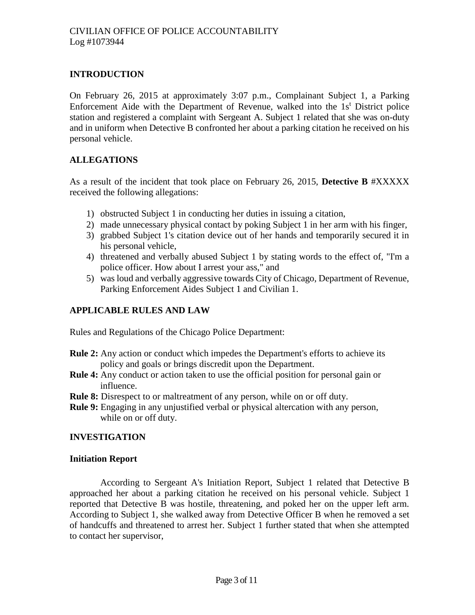# **INTRODUCTION**

On February 26, 2015 at approximately 3:07 p.m., Complainant Subject 1, a Parking Enforcement Aide with the Department of Revenue, walked into the  $1s<sup>t</sup>$  District police station and registered a complaint with Sergeant A. Subject 1 related that she was on-duty and in uniform when Detective B confronted her about a parking citation he received on his personal vehicle.

# **ALLEGATIONS**

As a result of the incident that took place on February 26, 2015, **Detective B** #XXXXX received the following allegations:

- 1) obstructed Subject 1 in conducting her duties in issuing a citation,
- 2) made unnecessary physical contact by poking Subject 1 in her arm with his finger,
- 3) grabbed Subject 1's citation device out of her hands and temporarily secured it in his personal vehicle,
- 4) threatened and verbally abused Subject 1 by stating words to the effect of, "I'm a police officer. How about I arrest your ass," and
- 5) was loud and verbally aggressive towards City of Chicago, Department of Revenue, Parking Enforcement Aides Subject 1 and Civilian 1.

# **APPLICABLE RULES AND LAW**

Rules and Regulations of the Chicago Police Department:

- **Rule 2:** Any action or conduct which impedes the Department's efforts to achieve its policy and goals or brings discredit upon the Department.
- **Rule 4:** Any conduct or action taken to use the official position for personal gain or influence.
- **Rule 8:** Disrespect to or maltreatment of any person, while on or off duty.
- **Rule 9:** Engaging in any unjustified verbal or physical altercation with any person, while on or off duty.

## **INVESTIGATION**

## **Initiation Report**

According to Sergeant A's Initiation Report, Subject 1 related that Detective B approached her about a parking citation he received on his personal vehicle. Subject 1 reported that Detective B was hostile, threatening, and poked her on the upper left arm. According to Subject 1, she walked away from Detective Officer B when he removed a set of handcuffs and threatened to arrest her. Subject 1 further stated that when she attempted to contact her supervisor,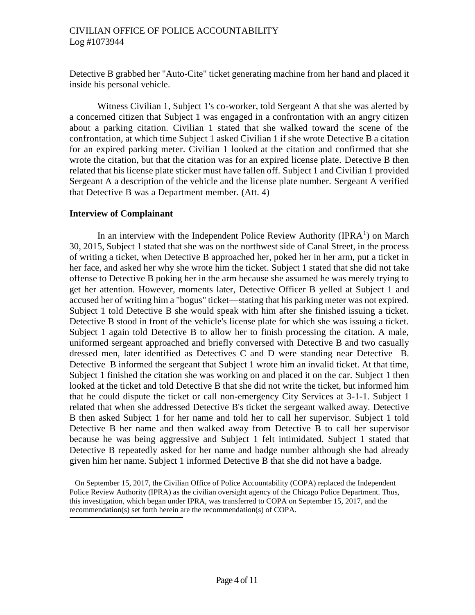### CIVILIAN OFFICE OF POLICE ACCOUNTABILITY Log #1073944

Detective B grabbed her "Auto-Cite" ticket generating machine from her hand and placed it inside his personal vehicle.

Witness Civilian 1, Subject 1's co-worker, told Sergeant A that she was alerted by a concerned citizen that Subject 1 was engaged in a confrontation with an angry citizen about a parking citation. Civilian 1 stated that she walked toward the scene of the confrontation, at which time Subject 1 asked Civilian 1 if she wrote Detective B a citation for an expired parking meter. Civilian 1 looked at the citation and confirmed that she wrote the citation, but that the citation was for an expired license plate. Detective B then related that his license plate sticker must have fallen off. Subject 1 and Civilian 1 provided Sergeant A a description of the vehicle and the license plate number. Sergeant A verified that Detective B was a Department member. (Att. 4)

### **Interview of Complainant**

In an interview with the Independent Police Review Authority (IPRA<sup>1</sup>) on March 30, 2015, Subject 1 stated that she was on the northwest side of Canal Street, in the process of writing a ticket, when Detective B approached her, poked her in her arm, put a ticket in her face, and asked her why she wrote him the ticket. Subject 1 stated that she did not take offense to Detective B poking her in the arm because she assumed he was merely trying to get her attention. However, moments later, Detective Officer B yelled at Subject 1 and accused her of writing him a "bogus" ticket—stating that his parking meter was not expired. Subject 1 told Detective B she would speak with him after she finished issuing a ticket. Detective B stood in front of the vehicle's license plate for which she was issuing a ticket. Subject 1 again told Detective B to allow her to finish processing the citation. A male, uniformed sergeant approached and briefly conversed with Detective B and two casually dressed men, later identified as Detectives C and D were standing near Detective B. Detective B informed the sergeant that Subject 1 wrote him an invalid ticket. At that time, Subject 1 finished the citation she was working on and placed it on the car. Subject 1 then looked at the ticket and told Detective B that she did not write the ticket, but informed him that he could dispute the ticket or call non-emergency City Services at 3-1-1. Subject 1 related that when she addressed Detective B's ticket the sergeant walked away. Detective B then asked Subject 1 for her name and told her to call her supervisor. Subject 1 told Detective B her name and then walked away from Detective B to call her supervisor because he was being aggressive and Subject 1 felt intimidated. Subject 1 stated that Detective B repeatedly asked for her name and badge number although she had already given him her name. Subject 1 informed Detective B that she did not have a badge.

On September 15, 2017, the Civilian Office of Police Accountability (COPA) replaced the Independent Police Review Authority (IPRA) as the civilian oversight agency of the Chicago Police Department. Thus, this investigation, which began under IPRA, was transferred to COPA on September 15, 2017, and the recommendation(s) set forth herein are the recommendation(s) of COPA.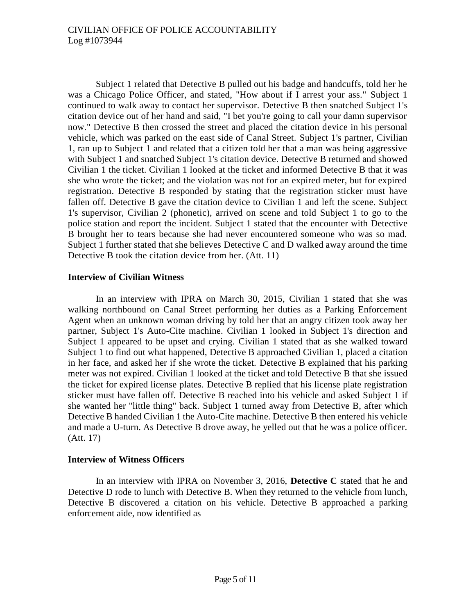Subject 1 related that Detective B pulled out his badge and handcuffs, told her he was a Chicago Police Officer, and stated, "How about if I arrest your ass." Subject 1 continued to walk away to contact her supervisor. Detective B then snatched Subject 1's citation device out of her hand and said, "I bet you're going to call your damn supervisor now." Detective B then crossed the street and placed the citation device in his personal vehicle, which was parked on the east side of Canal Street. Subject 1's partner, Civilian 1, ran up to Subject 1 and related that a citizen told her that a man was being aggressive with Subject 1 and snatched Subject 1's citation device. Detective B returned and showed Civilian 1 the ticket. Civilian 1 looked at the ticket and informed Detective B that it was she who wrote the ticket; and the violation was not for an expired meter, but for expired registration. Detective B responded by stating that the registration sticker must have fallen off. Detective B gave the citation device to Civilian 1 and left the scene. Subject 1's supervisor, Civilian 2 (phonetic), arrived on scene and told Subject 1 to go to the police station and report the incident. Subject 1 stated that the encounter with Detective B brought her to tears because she had never encountered someone who was so mad. Subject 1 further stated that she believes Detective C and D walked away around the time Detective B took the citation device from her. (Att. 11)

### **Interview of Civilian Witness**

In an interview with IPRA on March 30, 2015, Civilian 1 stated that she was walking northbound on Canal Street performing her duties as a Parking Enforcement Agent when an unknown woman driving by told her that an angry citizen took away her partner, Subject 1's Auto-Cite machine. Civilian 1 looked in Subject 1's direction and Subject 1 appeared to be upset and crying. Civilian 1 stated that as she walked toward Subject 1 to find out what happened, Detective B approached Civilian 1, placed a citation in her face, and asked her if she wrote the ticket. Detective B explained that his parking meter was not expired. Civilian 1 looked at the ticket and told Detective B that she issued the ticket for expired license plates. Detective B replied that his license plate registration sticker must have fallen off. Detective B reached into his vehicle and asked Subject 1 if she wanted her "little thing" back. Subject 1 turned away from Detective B, after which Detective B handed Civilian 1 the Auto-Cite machine. Detective B then entered his vehicle and made a U-turn. As Detective B drove away, he yelled out that he was a police officer. (Att. 17)

#### **Interview of Witness Officers**

In an interview with IPRA on November 3, 2016, **Detective C** stated that he and Detective D rode to lunch with Detective B. When they returned to the vehicle from lunch, Detective B discovered a citation on his vehicle. Detective B approached a parking enforcement aide, now identified as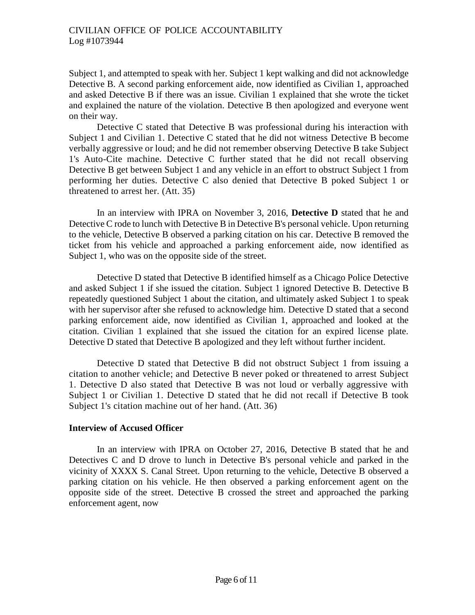Subject 1, and attempted to speak with her. Subject 1 kept walking and did not acknowledge Detective B. A second parking enforcement aide, now identified as Civilian 1, approached and asked Detective B if there was an issue. Civilian 1 explained that she wrote the ticket and explained the nature of the violation. Detective B then apologized and everyone went on their way.

Detective C stated that Detective B was professional during his interaction with Subject 1 and Civilian 1. Detective C stated that he did not witness Detective B become verbally aggressive or loud; and he did not remember observing Detective B take Subject 1's Auto-Cite machine. Detective C further stated that he did not recall observing Detective B get between Subject 1 and any vehicle in an effort to obstruct Subject 1 from performing her duties. Detective C also denied that Detective B poked Subject 1 or threatened to arrest her. (Att. 35)

In an interview with IPRA on November 3, 2016, **Detective D** stated that he and Detective C rode to lunch with Detective B in Detective B's personal vehicle. Upon returning to the vehicle, Detective B observed a parking citation on his car. Detective B removed the ticket from his vehicle and approached a parking enforcement aide, now identified as Subject 1, who was on the opposite side of the street.

Detective D stated that Detective B identified himself as a Chicago Police Detective and asked Subject 1 if she issued the citation. Subject 1 ignored Detective B. Detective B repeatedly questioned Subject 1 about the citation, and ultimately asked Subject 1 to speak with her supervisor after she refused to acknowledge him. Detective D stated that a second parking enforcement aide, now identified as Civilian 1, approached and looked at the citation. Civilian 1 explained that she issued the citation for an expired license plate. Detective D stated that Detective B apologized and they left without further incident.

Detective D stated that Detective B did not obstruct Subject 1 from issuing a citation to another vehicle; and Detective B never poked or threatened to arrest Subject 1. Detective D also stated that Detective B was not loud or verbally aggressive with Subject 1 or Civilian 1. Detective D stated that he did not recall if Detective B took Subject 1's citation machine out of her hand. (Att. 36)

#### **Interview of Accused Officer**

In an interview with IPRA on October 27, 2016, Detective B stated that he and Detectives C and D drove to lunch in Detective B's personal vehicle and parked in the vicinity of XXXX S. Canal Street. Upon returning to the vehicle, Detective B observed a parking citation on his vehicle. He then observed a parking enforcement agent on the opposite side of the street. Detective B crossed the street and approached the parking enforcement agent, now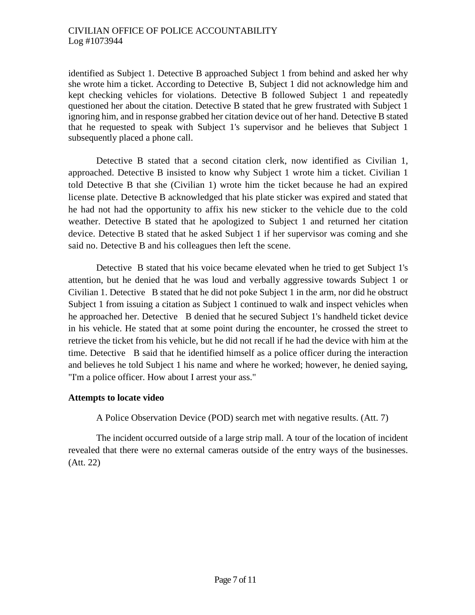identified as Subject 1. Detective B approached Subject 1 from behind and asked her why she wrote him a ticket. According to Detective B, Subject 1 did not acknowledge him and kept checking vehicles for violations. Detective B followed Subject 1 and repeatedly questioned her about the citation. Detective B stated that he grew frustrated with Subject 1 ignoring him, and in response grabbed her citation device out of her hand. Detective B stated that he requested to speak with Subject 1's supervisor and he believes that Subject 1 subsequently placed a phone call.

Detective B stated that a second citation clerk, now identified as Civilian 1, approached. Detective B insisted to know why Subject 1 wrote him a ticket. Civilian 1 told Detective B that she (Civilian 1) wrote him the ticket because he had an expired license plate. Detective B acknowledged that his plate sticker was expired and stated that he had not had the opportunity to affix his new sticker to the vehicle due to the cold weather. Detective B stated that he apologized to Subject 1 and returned her citation device. Detective B stated that he asked Subject 1 if her supervisor was coming and she said no. Detective B and his colleagues then left the scene.

Detective B stated that his voice became elevated when he tried to get Subject 1's attention, but he denied that he was loud and verbally aggressive towards Subject 1 or Civilian 1. Detective B stated that he did not poke Subject 1 in the arm, nor did he obstruct Subject 1 from issuing a citation as Subject 1 continued to walk and inspect vehicles when he approached her. Detective B denied that he secured Subject 1's handheld ticket device in his vehicle. He stated that at some point during the encounter, he crossed the street to retrieve the ticket from his vehicle, but he did not recall if he had the device with him at the time. Detective B said that he identified himself as a police officer during the interaction and believes he told Subject 1 his name and where he worked; however, he denied saying, "I'm a police officer. How about I arrest your ass."

## **Attempts to locate video**

A Police Observation Device (POD) search met with negative results. (Att. 7)

The incident occurred outside of a large strip mall. A tour of the location of incident revealed that there were no external cameras outside of the entry ways of the businesses. (Att. 22)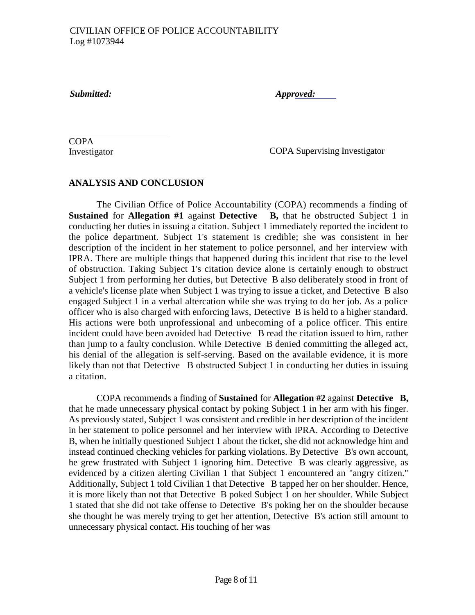*Submitted: Approved:*

**COPA** Investigator

COPA Supervising Investigator

# **ANALYSIS AND CONCLUSION**

The Civilian Office of Police Accountability (COPA) recommends a finding of **Sustained** for **Allegation #1** against **Detective B,** that he obstructed Subject 1 in conducting her duties in issuing a citation. Subject 1 immediately reported the incident to the police department. Subject 1's statement is credible; she was consistent in her description of the incident in her statement to police personnel, and her interview with IPRA. There are multiple things that happened during this incident that rise to the level of obstruction. Taking Subject 1's citation device alone is certainly enough to obstruct Subject 1 from performing her duties, but Detective B also deliberately stood in front of a vehicle's license plate when Subject 1 was trying to issue a ticket, and Detective B also engaged Subject 1 in a verbal altercation while she was trying to do her job. As a police officer who is also charged with enforcing laws, Detective B is held to a higher standard. His actions were both unprofessional and unbecoming of a police officer. This entire incident could have been avoided had Detective B read the citation issued to him, rather than jump to a faulty conclusion. While Detective B denied committing the alleged act, his denial of the allegation is self-serving. Based on the available evidence, it is more likely than not that Detective B obstructed Subject 1 in conducting her duties in issuing a citation.

COPA recommends a finding of **Sustained** for **Allegation #2** against **Detective B,**  that he made unnecessary physical contact by poking Subject 1 in her arm with his finger. As previously stated, Subject 1 was consistent and credible in her description of the incident in her statement to police personnel and her interview with IPRA. According to Detective B, when he initially questioned Subject 1 about the ticket, she did not acknowledge him and instead continued checking vehicles for parking violations. By Detective B's own account, he grew frustrated with Subject 1 ignoring him. Detective B was clearly aggressive, as evidenced by a citizen alerting Civilian 1 that Subject 1 encountered an "angry citizen." Additionally, Subject 1 told Civilian 1 that Detective B tapped her on her shoulder. Hence, it is more likely than not that Detective B poked Subject 1 on her shoulder. While Subject 1 stated that she did not take offense to Detective B's poking her on the shoulder because she thought he was merely trying to get her attention, Detective B's action still amount to unnecessary physical contact. His touching of her was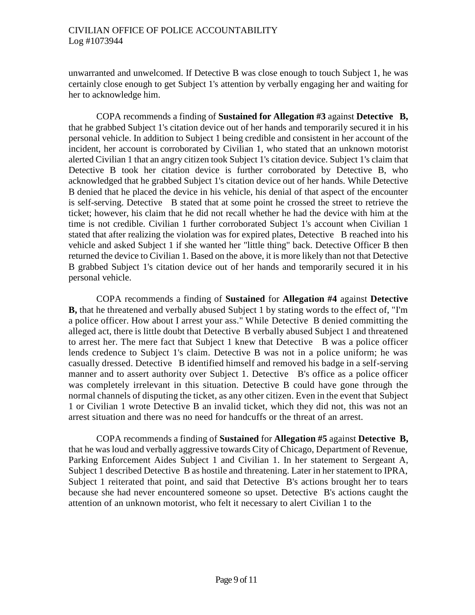### CIVILIAN OFFICE OF POLICE ACCOUNTABILITY Log #1073944

unwarranted and unwelcomed. If Detective B was close enough to touch Subject 1, he was certainly close enough to get Subject 1's attention by verbally engaging her and waiting for her to acknowledge him.

COPA recommends a finding of **Sustained for Allegation #3** against **Detective B,**  that he grabbed Subject 1's citation device out of her hands and temporarily secured it in his personal vehicle. In addition to Subject 1 being credible and consistent in her account of the incident, her account is corroborated by Civilian 1, who stated that an unknown motorist alerted Civilian 1 that an angry citizen took Subject 1's citation device. Subject 1's claim that Detective B took her citation device is further corroborated by Detective B, who acknowledged that he grabbed Subject 1's citation device out of her hands. While Detective B denied that he placed the device in his vehicle, his denial of that aspect of the encounter is self-serving. Detective B stated that at some point he crossed the street to retrieve the ticket; however, his claim that he did not recall whether he had the device with him at the time is not credible. Civilian 1 further corroborated Subject 1's account when Civilian 1 stated that after realizing the violation was for expired plates, Detective B reached into his vehicle and asked Subject 1 if she wanted her "little thing" back. Detective Officer B then returned the device to Civilian 1. Based on the above, it is more likely than not that Detective B grabbed Subject 1's citation device out of her hands and temporarily secured it in his personal vehicle.

COPA recommends a finding of **Sustained** for **Allegation #4** against **Detective B,** that he threatened and verbally abused Subject 1 by stating words to the effect of, "I'm a police officer. How about I arrest your ass." While Detective B denied committing the alleged act, there is little doubt that Detective B verbally abused Subject 1 and threatened to arrest her. The mere fact that Subject 1 knew that Detective B was a police officer lends credence to Subject 1's claim. Detective B was not in a police uniform; he was casually dressed. Detective B identified himself and removed his badge in a self-serving manner and to assert authority over Subject 1. Detective B's office as a police officer was completely irrelevant in this situation. Detective B could have gone through the normal channels of disputing the ticket, as any other citizen. Even in the event that Subject 1 or Civilian 1 wrote Detective B an invalid ticket, which they did not, this was not an arrest situation and there was no need for handcuffs or the threat of an arrest.

COPA recommends a finding of **Sustained** for **Allegation #5** against **Detective B,**  that he was loud and verbally aggressive towards City of Chicago, Department of Revenue, Parking Enforcement Aides Subject 1 and Civilian 1. In her statement to Sergeant A, Subject 1 described Detective B as hostile and threatening. Later in her statement to IPRA, Subject 1 reiterated that point, and said that Detective B's actions brought her to tears because she had never encountered someone so upset. Detective B's actions caught the attention of an unknown motorist, who felt it necessary to alert Civilian 1 to the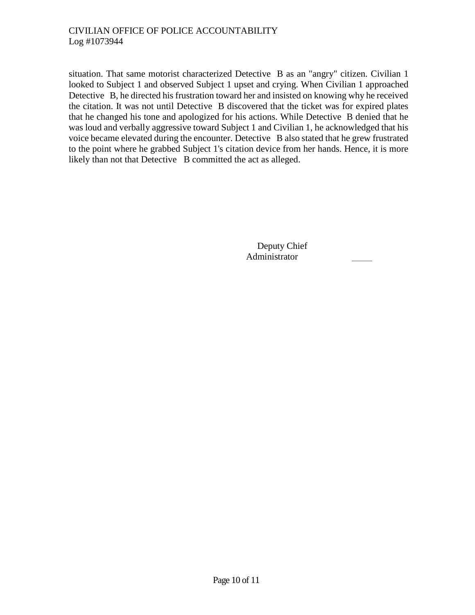situation. That same motorist characterized Detective B as an "angry" citizen. Civilian 1 looked to Subject 1 and observed Subject 1 upset and crying. When Civilian 1 approached Detective B, he directed his frustration toward her and insisted on knowing why he received the citation. It was not until Detective B discovered that the ticket was for expired plates that he changed his tone and apologized for his actions. While Detective B denied that he was loud and verbally aggressive toward Subject 1 and Civilian 1, he acknowledged that his voice became elevated during the encounter. Detective B also stated that he grew frustrated to the point where he grabbed Subject 1's citation device from her hands. Hence, it is more likely than not that Detective B committed the act as alleged.

> Deputy Chief Administrator